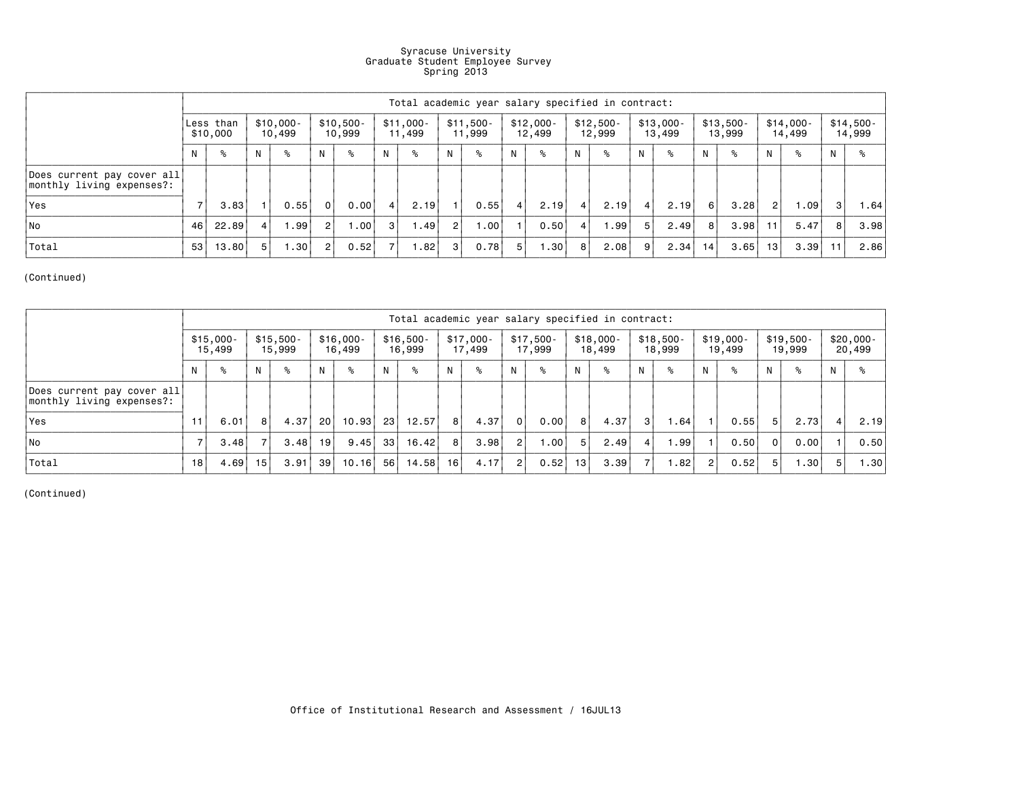## Syracuse University Graduate Student Employee Survey Spring 2013

|                                                         | Total academic year salary specified in contract: |       |                       |      |                      |      |                       |      |                      |      |                      |      |                      |      |                       |      |                      |      |                      |                   |                      |      |
|---------------------------------------------------------|---------------------------------------------------|-------|-----------------------|------|----------------------|------|-----------------------|------|----------------------|------|----------------------|------|----------------------|------|-----------------------|------|----------------------|------|----------------------|-------------------|----------------------|------|
|                                                         | Less than<br>\$10,000                             |       | $$10,000 -$<br>10,499 |      | $$10,500-$<br>10,999 |      | $$11,000 -$<br>11,499 |      | $$11,500-$<br>11,999 |      | $$12,000-$<br>12,499 |      | $$12,500-$<br>12,999 |      | $$13,000 -$<br>13,499 |      | $$13,500-$<br>13,999 |      | $$14,000-$<br>14,499 |                   | $$14,500-$<br>14,999 |      |
|                                                         |                                                   | °     | N                     | °    | N                    | °    | N                     | °    | N                    | ℅    | N                    | °    | N                    | ℅    | N                     | °≈   | N.                   | ℅    | N                    | °                 | N                    | ℅    |
| Does current pay cover all<br>monthly living expenses?: |                                                   |       |                       |      |                      |      |                       |      |                      |      |                      |      |                      |      |                       |      |                      |      |                      |                   |                      |      |
| l Yes                                                   |                                                   | 3.83  |                       | 0.55 | $\Omega$             | 0.00 | 4                     | 2.19 |                      | 0.55 | 4                    | 2.19 | $\overline{a}$       | 2.19 | 4                     | 2.19 | 6                    | 3.28 | $\overline{2}$       | 1.09 <sup>1</sup> | $\mathbf{3}$         | 1.64 |
| l No                                                    | 46                                                | 22.89 | $\overline{4}$        | .99  | $\overline{2}$       | 1.00 | 3                     | 1.49 | 2 <sub>1</sub>       | 1.00 |                      | 0.50 | 4                    | 1.99 | 5                     | 2.49 | 8                    | 3.98 | 11                   | 5.47              | 8                    | 3.98 |
| Total                                                   | 53                                                | 13,80 | 5                     | .30  | $\overline{2}$       | 0.52 | $\overline{7}$        | 1.82 | 3                    | 0.78 | 5                    | 1.30 | 8                    | 2.08 | 9                     | 2.34 | 14                   | 3.65 | 13                   | 3.39              | 11                   | 2.86 |

(Continued)

|                                                         | Total academic year salary specified in contract: |      |                      |      |                       |       |                      |       |                       |      |                      |                  |                       |      |                      |      |                       |      |                      |       |                |                      |
|---------------------------------------------------------|---------------------------------------------------|------|----------------------|------|-----------------------|-------|----------------------|-------|-----------------------|------|----------------------|------------------|-----------------------|------|----------------------|------|-----------------------|------|----------------------|-------|----------------|----------------------|
|                                                         | $$15,000 -$<br>15,499                             |      | $$15,500-$<br>15,999 |      | $$16,000 -$<br>16,499 |       | $$16,500-$<br>16,999 |       | $$17,000 -$<br>17,499 |      | $$17,500-$<br>17,999 |                  | $$18,000 -$<br>18,499 |      | $$18,500-$<br>18,999 |      | $$19,000 -$<br>19,499 |      | $$19,500-$<br>19,999 |       |                | $$20,000-$<br>20,499 |
|                                                         |                                                   | °≈   | N                    | °    | N                     | °     | N                    | ℅     | N.                    | °≈   | N                    | °≈               | N                     | ℅    |                      | °≈   | N                     | ℁    | N.                   | °≈    | N              | ℅                    |
| Does current pay cover all<br>monthly living expenses?: |                                                   |      |                      |      |                       |       |                      |       |                       |      |                      |                  |                       |      |                      |      |                       |      |                      |       |                |                      |
| Yes                                                     |                                                   | 6.01 | 8 I                  | 4.37 | 20 L                  | 10.93 | -23                  | 12.57 | 8                     | 4.37 | - 0 I                | 0.00             | 8                     | 4.37 | -3 I                 | 1.64 |                       | 0.55 | -5                   | 2.73  | 4 <sup>1</sup> | 2.19                 |
| l No                                                    |                                                   | 3.48 |                      | 3.48 | - 19 I                | 9.45  | 33                   | 16.42 | 8                     | 3.98 | $\sqrt{2}$           | .00 <sub>1</sub> | 5 <sup>1</sup>        | 2.49 | $\overline{4}$       | 1.99 |                       | 0.50 | $\Omega$             | 0.00  |                | 0.50                 |
| Total                                                   | 18                                                | 4.69 | 15                   | 3.91 | -39                   | 10.16 | 56                   | 14.58 | 16 I                  | 4.17 | $\sqrt{2}$           | 0.52             | 13 I                  | 3.39 |                      | 1.82 | $\overline{2}$        | 0.52 | 5                    | 1.301 | 5              | 1.30                 |

(Continued)